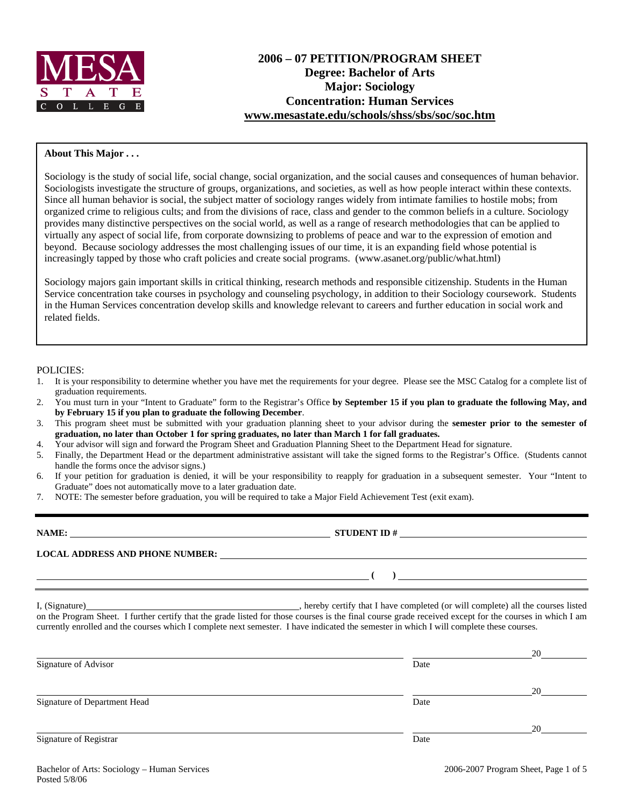

#### **About This Major . . .**

Sociology is the study of social life, social change, social organization, and the social causes and consequences of human behavior. Sociologists investigate the structure of groups, organizations, and societies, as well as how people interact within these contexts. Since all human behavior is social, the subject matter of sociology ranges widely from intimate families to hostile mobs; from organized crime to religious cults; and from the divisions of race, class and gender to the common beliefs in a culture. Sociology provides many distinctive perspectives on the social world, as well as a range of research methodologies that can be applied to virtually any aspect of social life, from corporate downsizing to problems of peace and war to the expression of emotion and beyond. Because sociology addresses the most challenging issues of our time, it is an expanding field whose potential is increasingly tapped by those who craft policies and create social programs. (www.asanet.org/public/what.html)

Sociology majors gain important skills in critical thinking, research methods and responsible citizenship. Students in the Human Service concentration take courses in psychology and counseling psychology, in addition to their Sociology coursework. Students in the Human Services concentration develop skills and knowledge relevant to careers and further education in social work and related fields.

#### POLICIES:

- 1. It is your responsibility to determine whether you have met the requirements for your degree. Please see the MSC Catalog for a complete list of graduation requirements.
- 2. You must turn in your "Intent to Graduate" form to the Registrar's Office **by September 15 if you plan to graduate the following May, and by February 15 if you plan to graduate the following December**.
- 3. This program sheet must be submitted with your graduation planning sheet to your advisor during the **semester prior to the semester of graduation, no later than October 1 for spring graduates, no later than March 1 for fall graduates.**
- 4. Your advisor will sign and forward the Program Sheet and Graduation Planning Sheet to the Department Head for signature.
- 5. Finally, the Department Head or the department administrative assistant will take the signed forms to the Registrar's Office. (Students cannot handle the forms once the advisor signs.)
- 6. If your petition for graduation is denied, it will be your responsibility to reapply for graduation in a subsequent semester. Your "Intent to Graduate" does not automatically move to a later graduation date.
- 7. NOTE: The semester before graduation, you will be required to take a Major Field Achievement Test (exit exam).

| NAME:                                  | <b>STUDENT ID#</b> |
|----------------------------------------|--------------------|
| <b>LOCAL ADDRESS AND PHONE NUMBER:</b> |                    |
|                                        |                    |

I, (Signature) **Solution** , hereby certify that I have completed (or will complete) all the courses listed on the Program Sheet. I further certify that the grade listed for those courses is the final course grade received except for the courses in which I am currently enrolled and the courses which I complete next semester. I have indicated the semester in which I will complete these courses.

|                              |      | 20 |
|------------------------------|------|----|
| Signature of Advisor         | Date |    |
|                              |      | 20 |
| Signature of Department Head | Date |    |
|                              |      | 20 |
| Signature of Registrar       | Date |    |
|                              |      |    |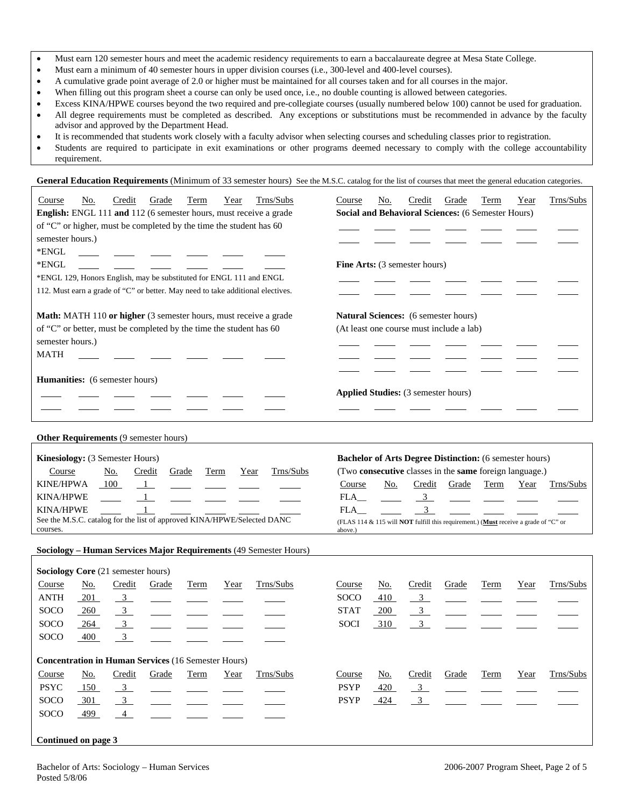- Must earn 120 semester hours and meet the academic residency requirements to earn a baccalaureate degree at Mesa State College.
- Must earn a minimum of 40 semester hours in upper division courses (i.e., 300-level and 400-level courses).
- A cumulative grade point average of 2.0 or higher must be maintained for all courses taken and for all courses in the major.
- When filling out this program sheet a course can only be used once, i.e., no double counting is allowed between categories.
- Excess KINA/HPWE courses beyond the two required and pre-collegiate courses (usually numbered below 100) cannot be used for graduation.
- All degree requirements must be completed as described. Any exceptions or substitutions must be recommended in advance by the faculty advisor and approved by the Department Head.
- It is recommended that students work closely with a faculty advisor when selecting courses and scheduling classes prior to registration.
- Students are required to participate in exit examinations or other programs deemed necessary to comply with the college accountability requirement.

General Education Requirements (Minimum of 33 semester hours) See the M.S.C. catalog for the list of courses that meet the general education categories.

| Trns/Subs<br>Credit<br>Grade<br>Term<br>Course<br>No.<br>Year                       | Trns/Subs<br>No.<br>Credit<br>Grade<br>Term<br>Year<br>Course                                  |
|-------------------------------------------------------------------------------------|------------------------------------------------------------------------------------------------|
| English: ENGL 111 and 112 (6 semester hours, must receive a grade                   | Social and Behavioral Sciences: (6 Semester Hours)                                             |
| of "C" or higher, must be completed by the time the student has 60                  |                                                                                                |
| semester hours.)                                                                    |                                                                                                |
| *ENGL                                                                               |                                                                                                |
| *ENGL                                                                               | Fine Arts: (3 semester hours)                                                                  |
| *ENGL 129, Honors English, may be substituted for ENGL 111 and ENGL                 |                                                                                                |
| 112. Must earn a grade of "C" or better. May need to take additional electives.     |                                                                                                |
| Math: MATH 110 or higher (3 semester hours, must receive a grade                    | Natural Sciences: (6 semester hours)                                                           |
| of "C" or better, must be completed by the time the student has 60                  | (At least one course must include a lab)                                                       |
| semester hours.)                                                                    |                                                                                                |
| <b>MATH</b>                                                                         |                                                                                                |
|                                                                                     |                                                                                                |
| Humanities: (6 semester hours)                                                      |                                                                                                |
|                                                                                     | <b>Applied Studies:</b> (3 semester hours)                                                     |
|                                                                                     |                                                                                                |
|                                                                                     |                                                                                                |
| Other Requirements (9 semester hours)                                               |                                                                                                |
| Kinesiology: (3 Semester Hours)                                                     | <b>Bachelor of Arts Degree Distinction:</b> (6 semester hours)                                 |
| Trns/Subs<br>Course<br>Credit<br>No.<br>Grade<br>Term<br>Year                       | (Two consecutive classes in the same foreign language.)                                        |
| <b>KINE/HPWA</b><br>100<br>$\frac{1}{2}$                                            | Credit Grade<br>Term<br>Course<br>No.<br>Trns/Subs<br>Year                                     |
| <b>KINA/HPWE</b><br>$\mathbf{1}$                                                    | $\frac{3}{2}$<br>FLA                                                                           |
| <b>KINA/HPWE</b>                                                                    | 3 <sup>7</sup><br>FLA                                                                          |
| See the M.S.C. catalog for the list of approved KINA/HPWE/Selected DANC<br>courses. | (FLAS 114 & 115 will NOT fulfill this requirement.) (Must receive a grade of "C" or<br>above.) |
|                                                                                     |                                                                                                |
| Sociology - Human Services Major Requirements (49 Semester Hours)                   |                                                                                                |
| Sociology Core (21 semester hours)                                                  |                                                                                                |
| Trns/Subs<br>Credit<br>Course<br><u>No.</u><br>Grade<br>Term<br>Year                | Credit<br>Trns/Subs<br>Course<br><u>No.</u><br>Grade<br>Term<br>Year                           |
| ANTH<br>$\frac{3}{2}$<br><u>201</u>                                                 | SOCO<br>410<br>$\overline{\mathbf{3}}$                                                         |
| $\overline{\mathbf{3}}$<br><b>SOCO</b><br>260                                       | <b>STAT</b><br>$\mathbf{3}$<br>200                                                             |
| <b>SOCO</b><br>$\overline{3}$<br>264                                                | 3 <sup>7</sup><br><b>SOCI</b><br>310                                                           |
| $\mathfrak{Z}$<br><b>SOCO</b><br>400                                                |                                                                                                |
| <b>Concentration in Human Services (16 Semester Hours)</b>                          |                                                                                                |
| Trns/Subs<br>Course<br><u>No.</u><br>Credit<br>Grade<br>Year<br>Term                | Credit<br>Trns/Subs<br>Course<br><u>No.</u><br>Grade<br>Term<br>Year                           |
| <b>PSYC</b><br>150<br>$\frac{3}{2}$                                                 | <b>PSYP</b><br>420<br>$\frac{3}{2}$                                                            |
| SOCO<br>301<br>$\overline{3}$                                                       | <b>PSYP</b><br>$\frac{3}{2}$<br>424                                                            |
| SOCO<br>499<br>$\overline{4}$                                                       |                                                                                                |
|                                                                                     |                                                                                                |
| Continued on page 3                                                                 |                                                                                                |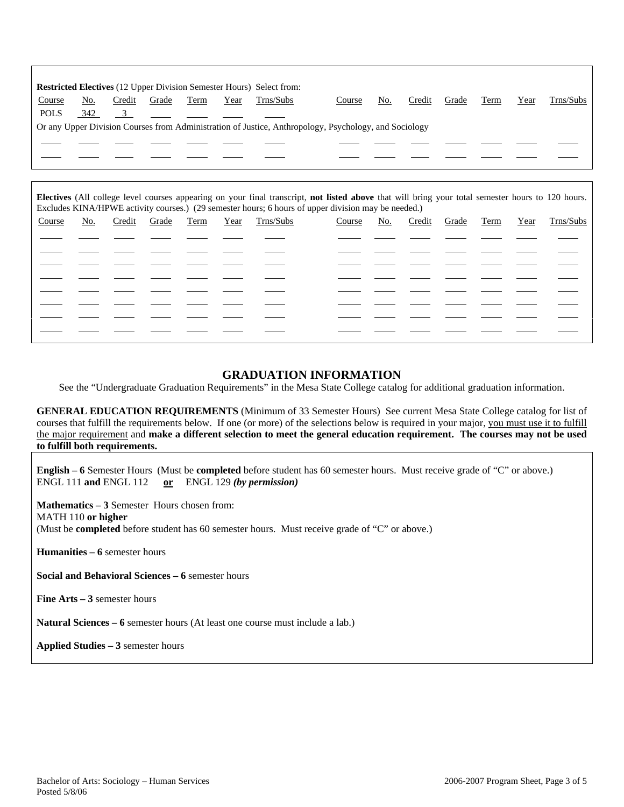|             |     |        |       |      |      | Restricted Electives (12 Upper Division Semester Hours) Select from: |                                                                                                       |     |        |       |      |      |           |
|-------------|-----|--------|-------|------|------|----------------------------------------------------------------------|-------------------------------------------------------------------------------------------------------|-----|--------|-------|------|------|-----------|
| Course      | No. | Credit | Grade | Term | Year | Trns/Subs                                                            | Course                                                                                                | No. | Credit | Grade | Term | Year | Trns/Subs |
| <b>POLS</b> | 342 |        |       |      |      |                                                                      |                                                                                                       |     |        |       |      |      |           |
|             |     |        |       |      |      |                                                                      | Or any Upper Division Courses from Administration of Justice, Anthropology, Psychology, and Sociology |     |        |       |      |      |           |
|             |     |        |       |      |      |                                                                      |                                                                                                       |     |        |       |      |      |           |
|             |     |        |       |      |      |                                                                      |                                                                                                       |     |        |       |      |      |           |
|             |     |        |       |      |      |                                                                      |                                                                                                       |     |        |       |      |      |           |

**Electives** (All college level courses appearing on your final transcript, **not listed above** that will bring your total semester hours to 120 hours. Excludes KINA/HPWE activity courses.) (29 semester hours; 6 hours of upper division may be needed.)

| Course | No. | Credit Grade Term |  | Year Trns/Subs | Course | No. | Credit Grade |  | Term Year Trns/Subs |
|--------|-----|-------------------|--|----------------|--------|-----|--------------|--|---------------------|
|        |     |                   |  |                |        |     |              |  |                     |
|        |     |                   |  |                |        |     |              |  |                     |
|        |     |                   |  |                |        |     |              |  |                     |
|        |     |                   |  |                |        |     |              |  |                     |
|        |     |                   |  |                |        |     |              |  |                     |
|        |     |                   |  |                |        |     |              |  |                     |
|        |     |                   |  |                |        |     |              |  |                     |
|        |     |                   |  |                |        |     |              |  |                     |

### **GRADUATION INFORMATION**

See the "Undergraduate Graduation Requirements" in the Mesa State College catalog for additional graduation information.

**GENERAL EDUCATION REQUIREMENTS** (Minimum of 33 Semester Hours) See current Mesa State College catalog for list of courses that fulfill the requirements below. If one (or more) of the selections below is required in your major, you must use it to fulfill the major requirement and **make a different selection to meet the general education requirement. The courses may not be used to fulfill both requirements.**

**English – 6** Semester Hours (Must be **completed** before student has 60 semester hours. Must receive grade of "C" or above.) ENGL 111 **and** ENGL 112 **or** ENGL 129 *(by permission)*

**Mathematics – 3** Semester Hours chosen from:

MATH 110 **or higher**

(Must be **completed** before student has 60 semester hours. Must receive grade of "C" or above.)

**Humanities – 6** semester hours

**Social and Behavioral Sciences – 6** semester hours

**Fine Arts – 3** semester hours

**Natural Sciences – 6** semester hours (At least one course must include a lab.)

**Applied Studies – 3** semester hours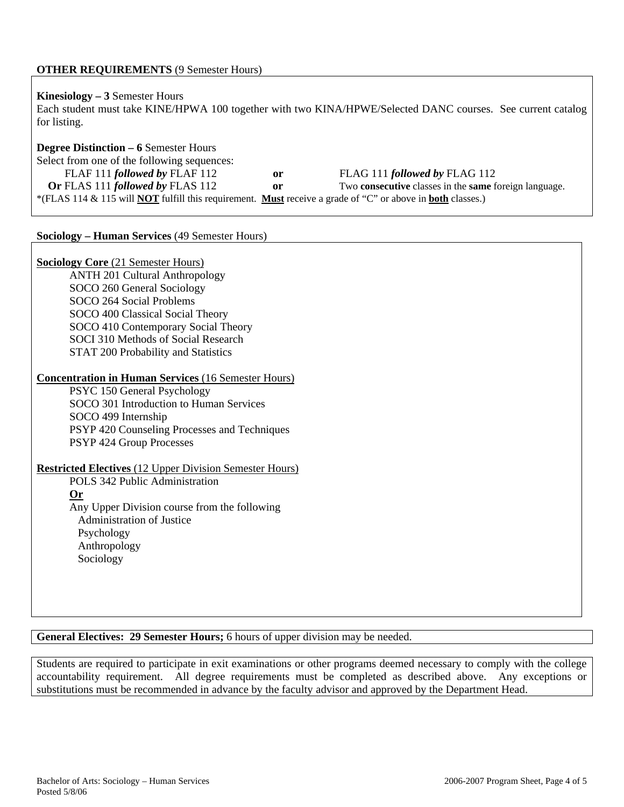# **OTHER REQUIREMENTS** (9 Semester Hours)

# **Kinesiology – 3** Semester Hours

Each student must take KINE/HPWA 100 together with two KINA/HPWE/Selected DANC courses. See current catalog for listing.

# **Degree Distinction – 6** Semester Hours Select from one of the following sequences: FLAF 111 *followed by* FLAF 112 **or** FLAG 111 *followed by* FLAG 112<br>**Or** FLAS 111 *followed by* FLAS 112 **or** Two **consecutive** classes in the **same** f **or** FWO **consecutive** classes in the **same** foreign language. \*(FLAS 114 & 115 will **NOT** fulfill this requirement. **Must** receive a grade of "C" or above in **both** classes.)

#### **Sociology – Human Services** (49 Semester Hours)

# **Sociology Core** (21 Semester Hours)

ANTH 201 Cultural Anthropology SOCO 260 General Sociology SOCO 264 Social Problems SOCO 400 Classical Social Theory SOCO 410 Contemporary Social Theory SOCI 310 Methods of Social Research STAT 200 Probability and Statistics

### **Concentration in Human Services** (16 Semester Hours)

PSYC 150 General Psychology SOCO 301 Introduction to Human Services SOCO 499 Internship PSYP 420 Counseling Processes and Techniques PSYP 424 Group Processes

# **Restricted Electives** (12 Upper Division Semester Hours)

POLS 342 Public Administration **Or** Any Upper Division course from the following Administration of Justice Psychology Anthropology Sociology

# **General Electives: 29 Semester Hours;** 6 hours of upper division may be needed.

Students are required to participate in exit examinations or other programs deemed necessary to comply with the college accountability requirement. All degree requirements must be completed as described above. Any exceptions or substitutions must be recommended in advance by the faculty advisor and approved by the Department Head.